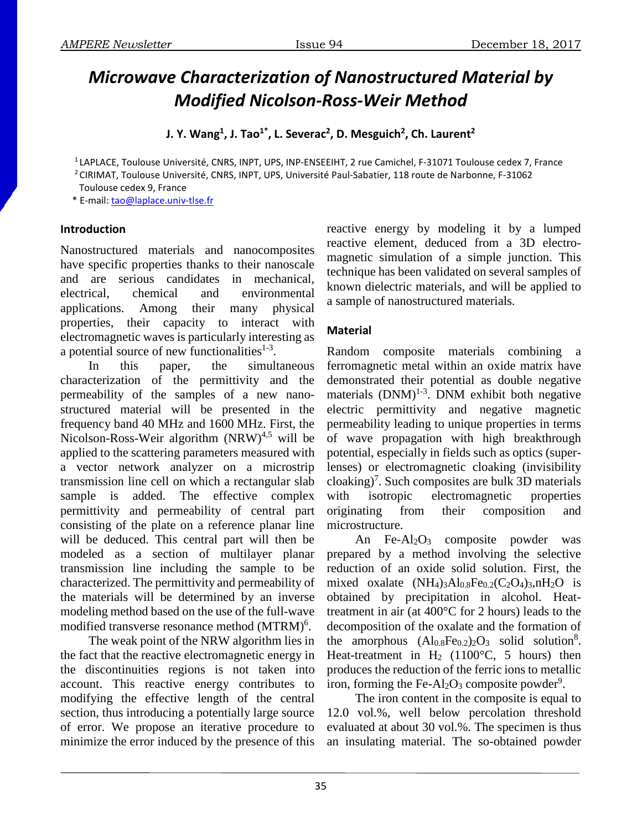# *Microwave Characterization of Nanostructured Material by Modified Nicolson-Ross-Weir Method*

**J.** Y. Wang<sup>1</sup>, J. Tao<sup>1</sup><sup>\*</sup>, L. Severac<sup>2</sup>, D. Mesguich<sup>2</sup>, Ch. Laurent<sup>2</sup>

<sup>1</sup> LAPLACE, Toulouse Université, CNRS, INPT, UPS, INP-ENSEEIHT, 2 rue Camichel, F-31071 Toulouse cedex 7, France

<sup>2</sup> CIRIMAT, Toulouse Université, CNRS, INPT, UPS, Université Paul-Sabatier, 118 route de Narbonne, F-31062

Toulouse cedex 9, France

\* E-mail: [tao@laplace.univ-tlse.fr](mailto:tao@laplace.univ-tlse.fr)

# **Introduction**

Nanostructured materials and nanocomposites have specific properties thanks to their nanoscale and are serious candidates in mechanical, electrical, chemical and environmental applications. Among their many physical properties, their capacity to interact with electromagnetic waves is particularly interesting as a potential source of new functionalities $1-3$ .

In this paper, the simultaneous characterization of the permittivity and the permeability of the samples of a new nanostructured material will be presented in the frequency band 40 MHz and 1600 MHz. First, the Nicolson-Ross-Weir algorithm  $(NRW)^{4,5}$  will be applied to the scattering parameters measured with a vector network analyzer on a microstrip transmission line cell on which a rectangular slab sample is added. The effective complex permittivity and permeability of central part consisting of the plate on a reference planar line will be deduced. This central part will then be modeled as a section of multilayer planar transmission line including the sample to be characterized. The permittivity and permeability of the materials will be determined by an inverse modeling method based on the use of the full-wave modified transverse resonance method (MTRM)<sup>6</sup>.

The weak point of the NRW algorithm lies in the fact that the reactive electromagnetic energy in the discontinuities regions is not taken into account. This reactive energy contributes to modifying the effective length of the central section, thus introducing a potentially large source of error. We propose an iterative procedure to minimize the error induced by the presence of this

reactive energy by modeling it by a lumped reactive element, deduced from a 3D electromagnetic simulation of a simple junction. This technique has been validated on several samples of known dielectric materials, and will be applied to a sample of nanostructured materials.

# **Material**

Random composite materials combining a ferromagnetic metal within an oxide matrix have demonstrated their potential as double negative materials  $(DNM)^{1-3}$ . DNM exhibit both negative electric permittivity and negative magnetic permeability leading to unique properties in terms of wave propagation with high breakthrough potential, especially in fields such as optics (superlenses) or electromagnetic cloaking (invisibility cloaking)<sup>7</sup>. Such composites are bulk 3D materials with isotropic electromagnetic properties originating from their composition and microstructure.

An Fe-Al<sub>2</sub>O<sub>3</sub> composite powder was prepared by a method involving the selective reduction of an oxide solid solution. First, the mixed oxalate  $(NH_4)_3Al_{0.8}Fe_{0.2}(C_2O_4)_3, nH_2O$  is obtained by precipitation in alcohol. Heattreatment in air (at 400°C for 2 hours) leads to the decomposition of the oxalate and the formation of the amorphous  $(Al_{0.8}Fe_{0.2})_2O_3$  solid solution<sup>8</sup>. Heat-treatment in  $H_2$  (1100°C, 5 hours) then produces the reduction of the ferric ions to metallic iron, forming the Fe-Al<sub>2</sub>O<sub>3</sub> composite powder<sup>9</sup>.

The iron content in the composite is equal to 12.0 vol.%, well below percolation threshold evaluated at about 30 vol.%. The specimen is thus an insulating material. The so-obtained powder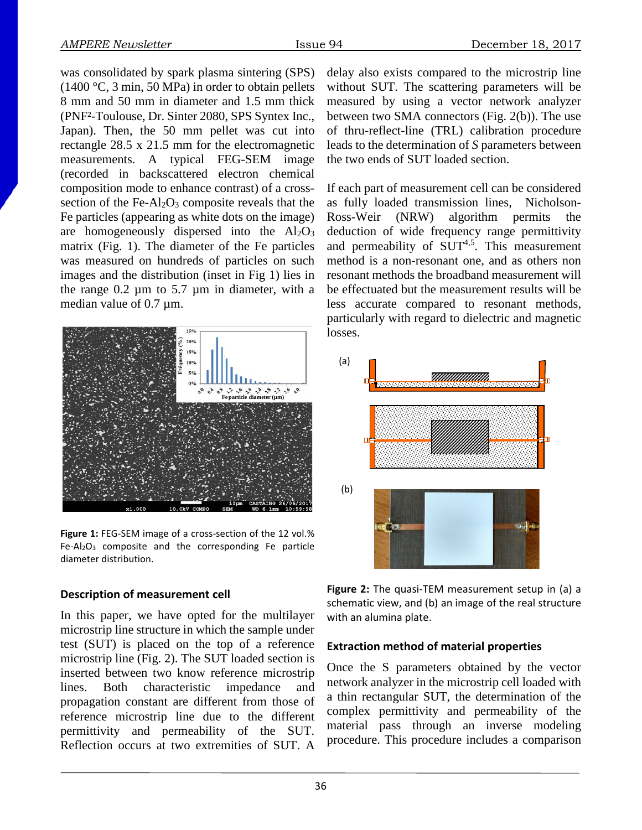was consolidated by spark plasma sintering (SPS) (1400 °C, 3 min, 50 MPa) in order to obtain pellets 8 mm and 50 mm in diameter and 1.5 mm thick (PNF²-Toulouse, Dr. Sinter 2080, SPS Syntex Inc., Japan). Then, the 50 mm pellet was cut into rectangle 28.5 x 21.5 mm for the electromagnetic measurements. A typical FEG-SEM image (recorded in backscattered electron chemical composition mode to enhance contrast) of a crosssection of the Fe- $Al_2O_3$  composite reveals that the Fe particles (appearing as white dots on the image) are homogeneously dispersed into the  $Al_2O_3$ matrix (Fig. 1). The diameter of the Fe particles was measured on hundreds of particles on such images and the distribution (inset in Fig 1) lies in the range  $0.2 \mu m$  to  $5.7 \mu m$  in diameter, with a median value of 0.7  $\mu$ m.



**Figure 1:** FEG-SEM image of a cross-section of the 12 vol.% Fe-Al2O3 composite and the corresponding Fe particle diameter distribution.

# **Description of measurement cell**

In this paper, we have opted for the multilayer microstrip line structure in which the sample under test (SUT) is placed on the top of a reference microstrip line (Fig. 2). The SUT loaded section is inserted between two know reference microstrip lines. Both characteristic impedance and propagation constant are different from those of reference microstrip line due to the different permittivity and permeability of the SUT. Reflection occurs at two extremities of SUT. A

delay also exists compared to the microstrip line without SUT. The scattering parameters will be measured by using a vector network analyzer between two SMA connectors (Fig. 2(b)). The use of thru-reflect-line (TRL) calibration procedure leads to the determination of *S* parameters between the two ends of SUT loaded section.

If each part of measurement cell can be considered as fully loaded transmission lines, Nicholson-Ross-Weir (NRW) algorithm permits the deduction of wide frequency range permittivity and permeability of  $SUT^{4,5}$ . This measurement method is a non-resonant one, and as others non resonant methods the broadband measurement will be effectuated but the measurement results will be less accurate compared to resonant methods, particularly with regard to dielectric and magnetic losses.



**Figure 2:** The quasi-TEM measurement setup in (a) a schematic view, and (b) an image of the real structure with an alumina plate.

## **Extraction method of material properties**

Once the S parameters obtained by the vector network analyzer in the microstrip cell loaded with a thin rectangular SUT, the determination of the complex permittivity and permeability of the material pass through an inverse modeling procedure. This procedure includes a comparison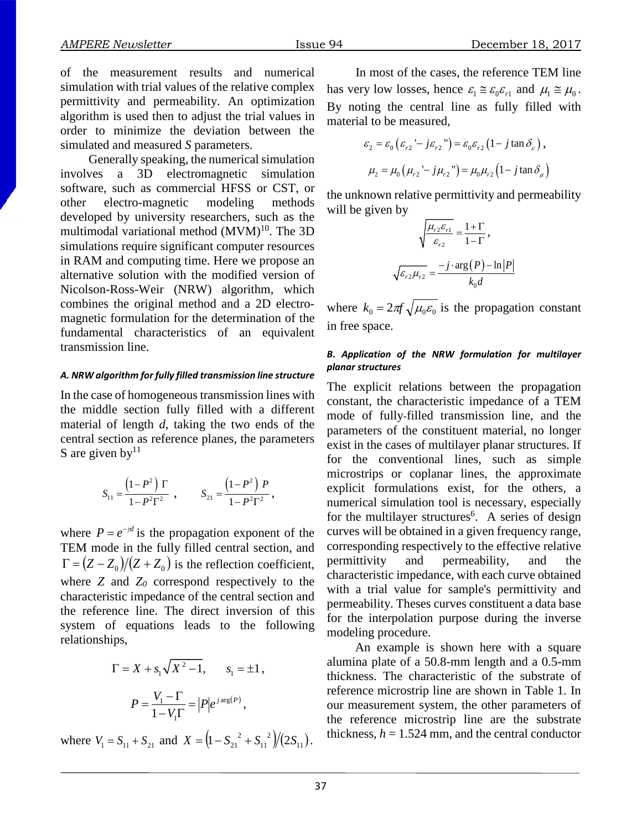of the measurement results and numerical simulation with trial values of the relative complex permittivity and permeability. An optimization algorithm is used then to adjust the trial values in order to minimize the deviation between the simulated and measured *S* parameters.

Generally speaking, the numerical simulation involves a 3D electromagnetic simulation software, such as commercial HFSS or CST, or other electro-magnetic modeling methods developed by university researchers, such as the multimodal variational method  $(MVM)^{10}$ . The 3D simulations require significant computer resources in RAM and computing time. Here we propose an alternative solution with the modified version of Nicolson-Ross-Weir (NRW) algorithm, which combines the original method and a 2D electromagnetic formulation for the determination of the fundamental characteristics of an equivalent transmission line.

#### *A. NRW algorithm for fully filled transmission line structure*

In the case of homogeneous transmission lines with the middle section fully filled with a different material of length *d*, taking the two ends of the central section as reference planes, the parameters S are given by  $11$ 

$$
S_{11} = \frac{(1 - P^2) \Gamma}{1 - P^2 \Gamma^2} , \qquad S_{21} = \frac{(1 - P^2) P}{1 - P^2 \Gamma^2} ,
$$

where  $P = e^{-\gamma d}$  is the propagation exponent of the TEM mode in the fully filled central section, and  $\Gamma = (Z - Z_0)/(Z + Z_0)$  is the reflection coefficient, where *Z* and *Z0* correspond respectively to the characteristic impedance of the central section and the reference line. The direct inversion of this system of equations leads to the following relationships,

$$
\Gamma = X + s_1 \sqrt{X^2 - 1}, \qquad s_1 = \pm 1,
$$
  

$$
P = \frac{V_1 - \Gamma}{1 - V_1 \Gamma} = |P| e^{j \arg(P)},
$$

where  $V_1 = S_{11} + S_{21}$  and  $X = \left(1 - S_{21}^2 + S_{11}^2\right)/(2S_{11})$ 11  $X = (1 - S_{21}^2 + S_{11}^2)/(2S_{11}).$ 

In most of the cases, the reference TEM line has very low losses, hence  $\varepsilon_1 \approx \varepsilon_0 \varepsilon_{r1}$  and  $\mu_1 \approx \mu_0$ . By noting the central line as fully filled with material to be measured,

$$
\varepsilon_2 = \varepsilon_0 \left( \varepsilon_{r_2} - j \varepsilon_{r_2} \right) = \varepsilon_0 \varepsilon_{r_2} \left( 1 - j \tan \delta_\varepsilon \right),
$$
  

$$
\mu_2 = \mu_0 \left( \mu_{r_2} - j \mu_{r_2} \right) = \mu_0 \mu_{r_2} \left( 1 - j \tan \delta_\mu \right)
$$

the unknown relative permittivity and permeability will be given by

$$
\sqrt{\frac{\mu_{r2} \varepsilon_{r1}}{\varepsilon_{r2}}} = \frac{1+\Gamma}{1-\Gamma},
$$

$$
\sqrt{\varepsilon_{r2} \mu_{r2}} = \frac{-j \cdot \arg(P) - \ln |P|}{k_0 d}
$$

where  $k_0 = 2\pi f \sqrt{\mu_0 \epsilon_0}$  is the propagation constant in free space.

#### *B. Application of the NRW formulation for multilayer planar structures*

The explicit relations between the propagation constant, the characteristic impedance of a TEM mode of fully-filled transmission line, and the parameters of the constituent material, no longer exist in the cases of multilayer planar structures. If for the conventional lines, such as simple microstrips or coplanar lines, the approximate explicit formulations exist, for the others, a numerical simulation tool is necessary, especially for the multilayer structures<sup>6</sup>. A series of design curves will be obtained in a given frequency range, corresponding respectively to the effective relative permittivity and permeability, and the characteristic impedance, with each curve obtained with a trial value for sample's permittivity and permeability. Theses curves constituent a data base for the interpolation purpose during the inverse modeling procedure.

An example is shown here with a square alumina plate of a 50.8-mm length and a 0.5-mm thickness. The characteristic of the substrate of reference microstrip line are shown in Table 1. In our measurement system, the other parameters of the reference microstrip line are the substrate thickness,  $h = 1.524$  mm, and the central conductor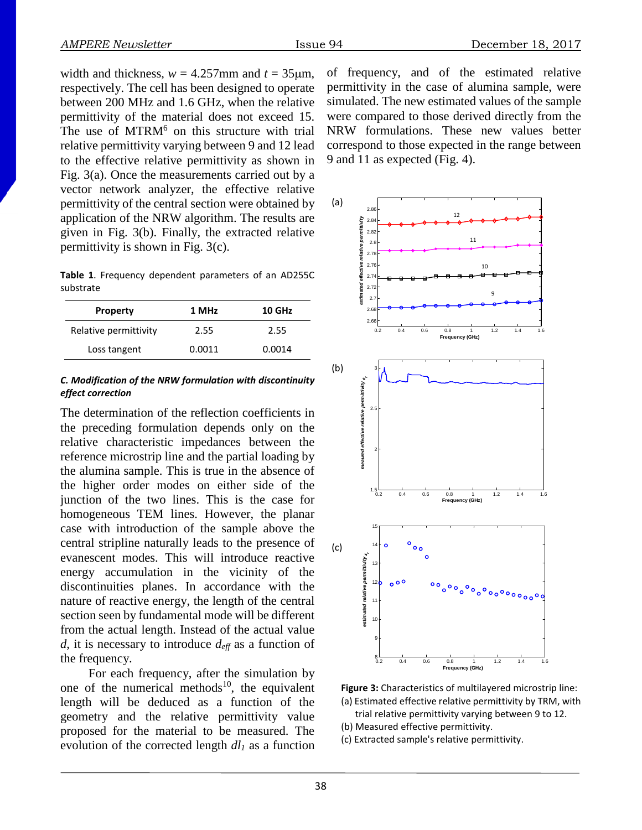width and thickness,  $w = 4.257$ mm and  $t = 35 \mu m$ , respectively. The cell has been designed to operate between 200 MHz and 1.6 GHz, when the relative permittivity of the material does not exceed 15. The use of  $MTRM<sup>6</sup>$  on this structure with trial relative permittivity varying between 9 and 12 lead to the effective relative permittivity as shown in Fig. 3(a). Once the measurements carried out by a vector network analyzer, the effective relative permittivity of the central section were obtained by application of the NRW algorithm. The results are given in Fig. 3(b). Finally, the extracted relative permittivity is shown in Fig. 3(c).

**Table 1**. Frequency dependent parameters of an AD255C substrate

| <b>Property</b>       | 1 MHz  | 10 GHz |
|-----------------------|--------|--------|
| Relative permittivity | 2.55   | 2.55   |
| Loss tangent          | 0.0011 | 0.0014 |

### *C. Modification of the NRW formulation with discontinuity effect correction*

The determination of the reflection coefficients in the preceding formulation depends only on the relative characteristic impedances between the reference microstrip line and the partial loading by the alumina sample. This is true in the absence of the higher order modes on either side of the junction of the two lines. This is the case for homogeneous TEM lines. However, the planar case with introduction of the sample above the central stripline naturally leads to the presence of evanescent modes. This will introduce reactive energy accumulation in the vicinity of the discontinuities planes. In accordance with the nature of reactive energy, the length of the central section seen by fundamental mode will be different from the actual length. Instead of the actual value *d*, it is necessary to introduce *deff* as a function of the frequency.

For each frequency, after the simulation by one of the numerical methods $10$ , the equivalent length will be deduced as a function of the geometry and the relative permittivity value proposed for the material to be measured. The evolution of the corrected length  $dl_1$  as a function of frequency, and of the estimated relative permittivity in the case of alumina sample, were simulated. The new estimated values of the sample were compared to those derived directly from the NRW formulations. These new values better correspond to those expected in the range between 9 and 11 as expected (Fig. 4).



**Figure 3:** Characteristics of multilayered microstrip line: (a) Estimated effective relative permittivity by TRM, with

trial relative permittivity varying between 9 to 12.

(b) Measured effective permittivity.

(c) Extracted sample's relative permittivity.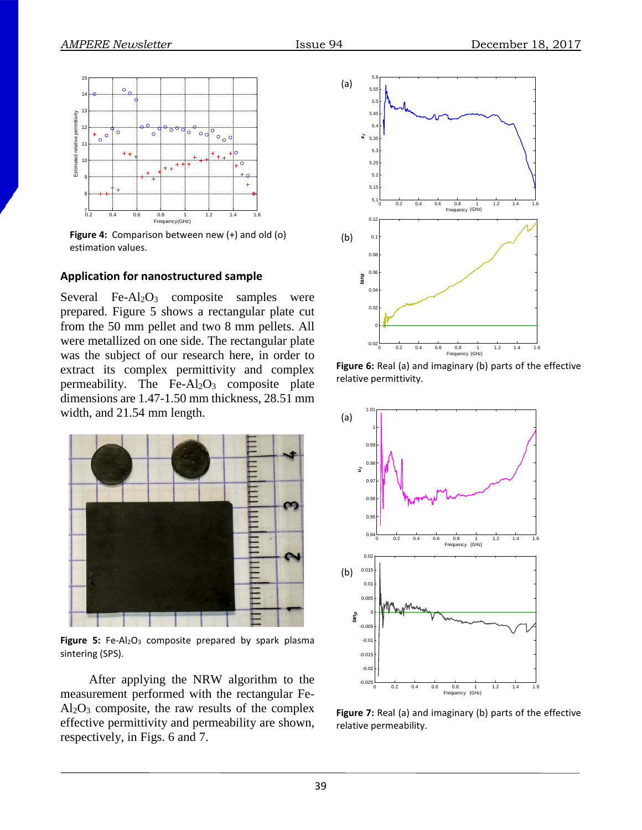

**Figure 4:** Comparison between new (+) and old (o) estimation values.

## **Application for nanostructured sample**

Several Fe-Al<sub>2</sub>O<sub>3</sub> composite samples were prepared. Figure 5 shows a rectangular plate cut from the 50 mm pellet and two 8 mm pellets. All were metallized on one side. The rectangular plate was the subject of our research here, in order to extract its complex permittivity and complex permeability. The  $Fe-Al<sub>2</sub>O<sub>3</sub>$  composite plate dimensions are 1.47-1.50 mm thickness, 28.51 mm width, and 21.54 mm length.



Figure 5: Fe-Al<sub>2</sub>O<sub>3</sub> composite prepared by spark plasma sintering (SPS).

After applying the NRW algorithm to the measurement performed with the rectangular Fe- $Al_2O_3$  composite, the raw results of the complex effective permittivity and permeability are shown, respectively, in Figs. 6 and 7.



**Figure 6:** Real (a) and imaginary (b) parts of the effective relative permittivity.



**Figure 7:** Real (a) and imaginary (b) parts of the effective relative permeability.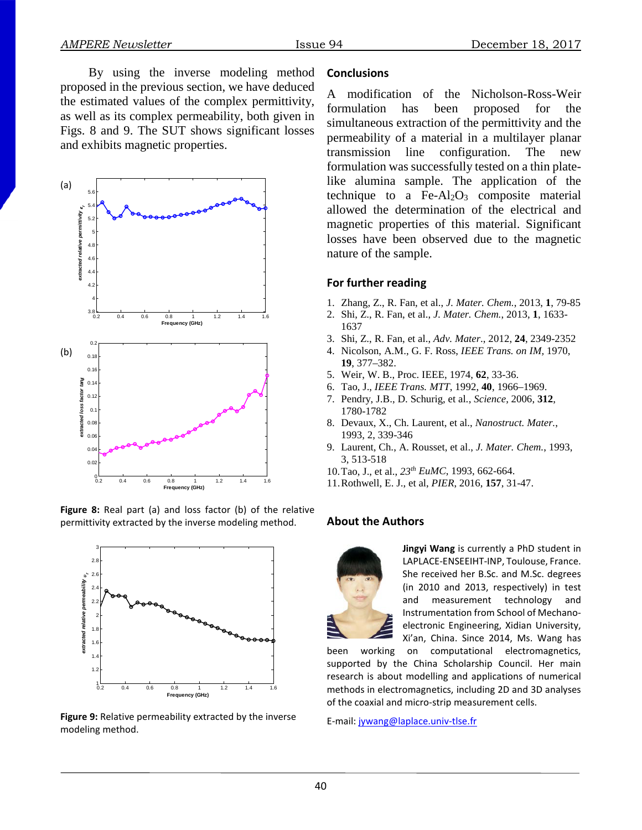By using the inverse modeling method proposed in the previous section, we have deduced the estimated values of the complex permittivity, as well as its complex permeability, both given in Figs. 8 and 9. The SUT shows significant losses and exhibits magnetic properties.



**Figure 8:** Real part (a) and loss factor (b) of the relative permittivity extracted by the inverse modeling method.



**Figure 9:** Relative permeability extracted by the inverse modeling method.

## **Conclusions**

A modification of the Nicholson-Ross-Weir formulation has been proposed for the simultaneous extraction of the permittivity and the permeability of a material in a multilayer planar transmission line configuration. The new formulation was successfully tested on a thin platelike alumina sample. The application of the technique to a  $Fe-Al<sub>2</sub>O<sub>3</sub>$  composite material allowed the determination of the electrical and magnetic properties of this material. Significant losses have been observed due to the magnetic nature of the sample.

## **For further reading**

- 1. Zhang, Z., R. Fan, et al., *J. Mater. Chem.*, 2013, **1**, 79-85
- 2. Shi, Z., R. Fan, et al., *J. Mater. Chem.*, 2013, **1**, 1633- 1637
- 3. Shi, Z., R. Fan, et al., *Adv. Mater*., 2012, **24**, 2349-2352
- 4. Nicolson, A.M., G. F. Ross, *IEEE Trans. on IM,* 1970, **19**, 377–382.
- 5. Weir, W. B., Proc. IEEE, 1974, **62**, 33-36.
- 6. Tao, J., *IEEE Trans. MTT*, 1992, **40**, 1966–1969.
- 7. Pendry, J.B., D. Schurig, et al., *Science*, 2006, **312**, 1780-1782
- 8. Devaux, X., Ch. Laurent, et al., *Nanostruct. Mater.*, 1993, 2, 339-346
- 9. Laurent, Ch., A. Rousset, et al., *J. Mater. Chem.*, 1993, 3, 513-518
- 10.Tao, J., et al., *23th EuMC*, 1993, 662-664.
- 11.Rothwell, E. J., et al, *PIER*, 2016, **157**, 31-47.

## **About the Authors**



**Jingyi Wang** is currently a PhD student in LAPLACE-ENSEEIHT-INP, Toulouse, France. She received her B.Sc. and M.Sc. degrees (in 2010 and 2013, respectively) in test and measurement technology and Instrumentation from School of Mechanoelectronic Engineering, Xidian University, Xi'an, China. Since 2014, Ms. Wang has

been working on computational electromagnetics, supported by the China Scholarship Council. Her main research is about modelling and applications of numerical methods in electromagnetics, including 2D and 3D analyses of the coaxial and micro-strip measurement cells.

E-mail: [jywang@laplace.univ-tlse.fr](mailto:jywang@laplace.univ-tlse.fr)